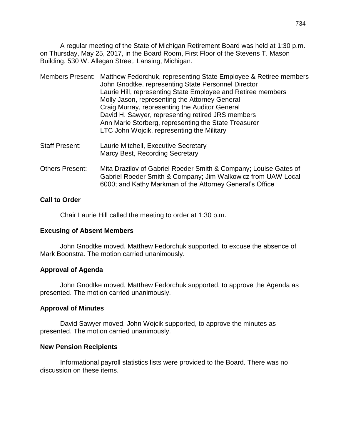A regular meeting of the State of Michigan Retirement Board was held at 1:30 p.m. on Thursday, May 25, 2017, in the Board Room, First Floor of the Stevens T. Mason Building, 530 W. Allegan Street, Lansing, Michigan.

|  | Members Present: Matthew Fedorchuk, representing State Employee & Retiree members |
|--|-----------------------------------------------------------------------------------|
|  | John Gnodtke, representing State Personnel Director                               |
|  | Laurie Hill, representing State Employee and Retiree members                      |
|  | Molly Jason, representing the Attorney General                                    |
|  | Craig Murray, representing the Auditor General                                    |
|  | David H. Sawyer, representing retired JRS members                                 |
|  | Ann Marie Storberg, representing the State Treasurer                              |
|  | LTC John Wojcik, representing the Military                                        |
|  |                                                                                   |

- Staff Present: Laurie Mitchell, Executive Secretary Marcy Best, Recording Secretary
- Others Present: Mita Drazilov of Gabriel Roeder Smith & Company; Louise Gates of Gabriel Roeder Smith & Company; Jim Walkowicz from UAW Local 6000; and Kathy Markman of the Attorney General's Office

## **Call to Order**

Chair Laurie Hill called the meeting to order at 1:30 p.m.

### **Excusing of Absent Members**

John Gnodtke moved, Matthew Fedorchuk supported, to excuse the absence of Mark Boonstra. The motion carried unanimously.

### **Approval of Agenda**

John Gnodtke moved, Matthew Fedorchuk supported, to approve the Agenda as presented. The motion carried unanimously.

### **Approval of Minutes**

David Sawyer moved, John Wojcik supported, to approve the minutes as presented. The motion carried unanimously.

### **New Pension Recipients**

Informational payroll statistics lists were provided to the Board. There was no discussion on these items.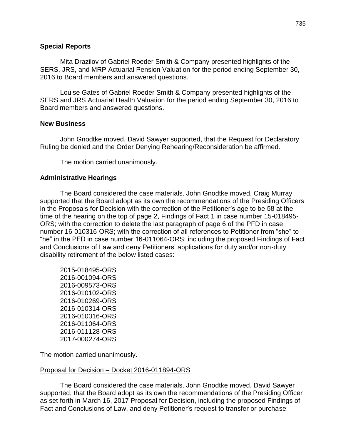### **Special Reports**

Mita Drazilov of Gabriel Roeder Smith & Company presented highlights of the SERS, JRS, and MRP Actuarial Pension Valuation for the period ending September 30, 2016 to Board members and answered questions.

Louise Gates of Gabriel Roeder Smith & Company presented highlights of the SERS and JRS Actuarial Health Valuation for the period ending September 30, 2016 to Board members and answered questions.

#### **New Business**

John Gnodtke moved, David Sawyer supported, that the Request for Declaratory Ruling be denied and the Order Denying Rehearing/Reconsideration be affirmed.

The motion carried unanimously.

### **Administrative Hearings**

The Board considered the case materials. John Gnodtke moved, Craig Murray supported that the Board adopt as its own the recommendations of the Presiding Officers in the Proposals for Decision with the correction of the Petitioner's age to be 58 at the time of the hearing on the top of page 2, Findings of Fact 1 in case number 15-018495- ORS; with the correction to delete the last paragraph of page 6 of the PFD in case number 16-010316-ORS; with the correction of all references to Petitioner from "she" to "he" in the PFD in case number 16-011064-ORS; including the proposed Findings of Fact and Conclusions of Law and deny Petitioners' applications for duty and/or non-duty disability retirement of the below listed cases:

2015-018495-ORS 2016-001094-ORS 2016-009573-ORS 2016-010102-ORS 2016-010269-ORS 2016-010314-ORS 2016-010316-ORS 2016-011064-ORS 2016-011128-ORS 2017-000274-ORS

The motion carried unanimously.

#### Proposal for Decision – Docket 2016-011894-ORS

The Board considered the case materials. John Gnodtke moved, David Sawyer supported, that the Board adopt as its own the recommendations of the Presiding Officer as set forth in March 16, 2017 Proposal for Decision, including the proposed Findings of Fact and Conclusions of Law, and deny Petitioner's request to transfer or purchase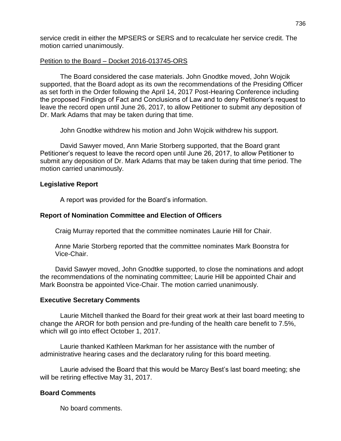service credit in either the MPSERS or SERS and to recalculate her service credit. The motion carried unanimously.

## Petition to the Board – Docket 2016-013745-ORS

The Board considered the case materials. John Gnodtke moved, John Wojcik supported, that the Board adopt as its own the recommendations of the Presiding Officer as set forth in the Order following the April 14, 2017 Post-Hearing Conference including the proposed Findings of Fact and Conclusions of Law and to deny Petitioner's request to leave the record open until June 26, 2017, to allow Petitioner to submit any deposition of Dr. Mark Adams that may be taken during that time.

John Gnodtke withdrew his motion and John Wojcik withdrew his support.

David Sawyer moved, Ann Marie Storberg supported, that the Board grant Petitioner's request to leave the record open until June 26, 2017, to allow Petitioner to submit any deposition of Dr. Mark Adams that may be taken during that time period. The motion carried unanimously.

## **Legislative Report**

A report was provided for the Board's information.

## **Report of Nomination Committee and Election of Officers**

Craig Murray reported that the committee nominates Laurie Hill for Chair.

Anne Marie Storberg reported that the committee nominates Mark Boonstra for Vice-Chair.

David Sawyer moved, John Gnodtke supported, to close the nominations and adopt the recommendations of the nominating committee; Laurie Hill be appointed Chair and Mark Boonstra be appointed Vice-Chair. The motion carried unanimously.

## **Executive Secretary Comments**

Laurie Mitchell thanked the Board for their great work at their last board meeting to change the AROR for both pension and pre-funding of the health care benefit to 7.5%, which will go into effect October 1, 2017.

Laurie thanked Kathleen Markman for her assistance with the number of administrative hearing cases and the declaratory ruling for this board meeting.

Laurie advised the Board that this would be Marcy Best's last board meeting; she will be retiring effective May 31, 2017.

## **Board Comments**

No board comments.